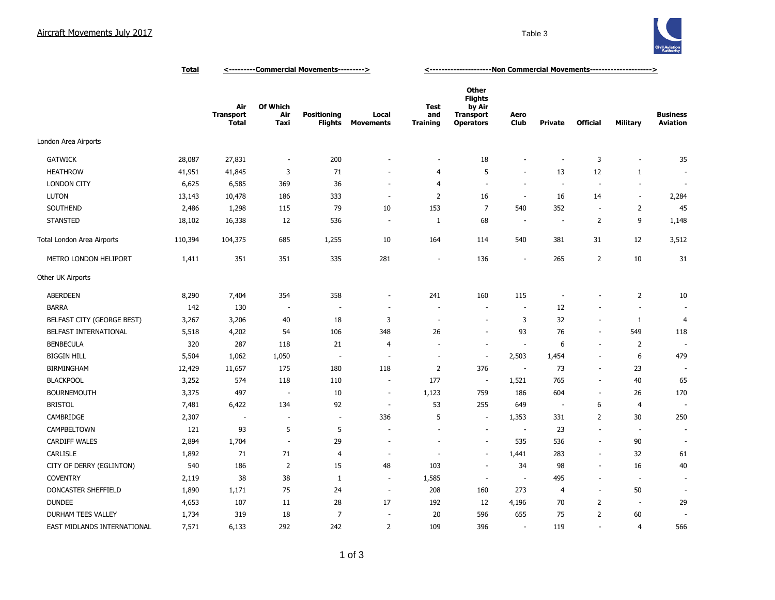

|                             | <b>Total</b> | <---------Commercial Movements---------> |                          |                                      |                           | <-----------------------Non Commercial Movements---------------------> |                                                                                  |                          |                          |                          |                          |                                    |
|-----------------------------|--------------|------------------------------------------|--------------------------|--------------------------------------|---------------------------|------------------------------------------------------------------------|----------------------------------------------------------------------------------|--------------------------|--------------------------|--------------------------|--------------------------|------------------------------------|
|                             |              | Air<br><b>Transport</b><br><b>Total</b>  | Of Which<br>Air<br>Taxi  | <b>Positioning</b><br><b>Flights</b> | Local<br><b>Movements</b> | <b>Test</b><br>and<br><b>Training</b>                                  | <b>Other</b><br><b>Flights</b><br>by Air<br><b>Transport</b><br><b>Operators</b> | Aero<br><b>Club</b>      | <b>Private</b>           | <b>Official</b>          | Military                 | <b>Business</b><br><b>Aviation</b> |
| London Area Airports        |              |                                          |                          |                                      |                           |                                                                        |                                                                                  |                          |                          |                          |                          |                                    |
| <b>GATWICK</b>              | 28,087       | 27,831                                   | $\overline{\phantom{a}}$ | 200                                  | ٠                         |                                                                        | 18                                                                               | $\sim$                   | ÷,                       | 3                        | $\overline{\phantom{a}}$ | 35                                 |
| <b>HEATHROW</b>             | 41,951       | 41,845                                   | 3                        | 71                                   |                           | $\overline{4}$                                                         | 5                                                                                | ÷.                       | 13                       | 12                       | $\mathbf{1}$             | $\overline{\phantom{a}}$           |
| <b>LONDON CITY</b>          | 6,625        | 6,585                                    | 369                      | 36                                   | $\sim$                    | 4                                                                      | $\sim$                                                                           | ÷.                       | J.                       | $\sim$                   | $\sim$                   | $\overline{\phantom{a}}$           |
| <b>LUTON</b>                | 13,143       | 10,478                                   | 186                      | 333                                  | $\sim$                    | $\overline{2}$                                                         | 16                                                                               | $\overline{\phantom{a}}$ | 16                       | 14                       | $\sim$                   | 2,284                              |
| SOUTHEND                    | 2,486        | 1,298                                    | 115                      | 79                                   | 10                        | 153                                                                    | $\overline{7}$                                                                   | 540                      | 352                      | $\overline{\phantom{a}}$ | $\overline{2}$           | 45                                 |
| <b>STANSTED</b>             | 18,102       | 16,338                                   | 12                       | 536                                  | $\overline{\phantom{a}}$  | 1                                                                      | 68                                                                               | $\overline{\phantom{a}}$ | $\overline{\phantom{a}}$ | $\overline{2}$           | 9                        | 1,148                              |
| Total London Area Airports  | 110,394      | 104,375                                  | 685                      | 1,255                                | 10                        | 164                                                                    | 114                                                                              | 540                      | 381                      | 31                       | 12                       | 3,512                              |
| METRO LONDON HELIPORT       | 1,411        | 351                                      | 351                      | 335                                  | 281                       |                                                                        | 136                                                                              | $\sim$                   | 265                      | $\overline{2}$           | 10                       | 31                                 |
| Other UK Airports           |              |                                          |                          |                                      |                           |                                                                        |                                                                                  |                          |                          |                          |                          |                                    |
| <b>ABERDEEN</b>             | 8,290        | 7,404                                    | 354                      | 358                                  | ٠                         | 241                                                                    | 160                                                                              | 115                      | $\overline{a}$           | ÷                        | 2                        | 10                                 |
| <b>BARRA</b>                | 142          | 130                                      | $\overline{\phantom{a}}$ | $\overline{\phantom{a}}$             | $\overline{\phantom{a}}$  |                                                                        | $\overline{\phantom{a}}$                                                         | $\overline{\phantom{a}}$ | 12                       | $\overline{a}$           | $\overline{\phantom{a}}$ |                                    |
| BELFAST CITY (GEORGE BEST)  | 3,267        | 3,206                                    | 40                       | 18                                   | 3                         |                                                                        | $\sim$                                                                           | 3                        | 32                       | $\overline{\phantom{a}}$ | 1                        | 4                                  |
| BELFAST INTERNATIONAL       | 5,518        | 4,202                                    | 54                       | 106                                  | 348                       | 26                                                                     | $\overline{\phantom{a}}$                                                         | 93                       | 76                       | $\blacksquare$           | 549                      | 118                                |
| <b>BENBECULA</b>            | 320          | 287                                      | 118                      | 21                                   | 4                         |                                                                        | $\overline{\phantom{a}}$                                                         | $\overline{\phantom{a}}$ | 6                        | $\overline{\phantom{a}}$ | $\overline{2}$           |                                    |
| <b>BIGGIN HILL</b>          | 5,504        | 1,062                                    | 1,050                    | $\overline{\phantom{a}}$             | $\sim$                    |                                                                        | $\overline{\phantom{a}}$                                                         | 2,503                    | 1,454                    | ٠                        | 6                        | 479                                |
| <b>BIRMINGHAM</b>           | 12,429       | 11,657                                   | 175                      | 180                                  | 118                       | $\overline{2}$                                                         | 376                                                                              | $\overline{\phantom{a}}$ | 73                       | $\sim$                   | 23                       |                                    |
| <b>BLACKPOOL</b>            | 3,252        | 574                                      | 118                      | 110                                  | ÷.                        | 177                                                                    | $\overline{\phantom{a}}$                                                         | 1,521                    | 765                      | $\sim$                   | 40                       | 65                                 |
| <b>BOURNEMOUTH</b>          | 3,375        | 497                                      | $\overline{\phantom{a}}$ | $10\,$                               | $\overline{\phantom{a}}$  | 1,123                                                                  | 759                                                                              | 186                      | 604                      | $\sim$                   | 26                       | 170                                |
| <b>BRISTOL</b>              | 7,481        | 6,422                                    | 134                      | 92                                   | $\sim$                    | 53                                                                     | 255                                                                              | 649                      | $\sim$                   | 6                        | 4                        | ٠.                                 |
| CAMBRIDGE                   | 2,307        | $\overline{\phantom{a}}$                 | $\overline{\phantom{a}}$ | $\overline{\phantom{a}}$             | 336                       | 5                                                                      | $\sim$                                                                           | 1,353                    | 331                      | $\overline{2}$           | 30                       | 250                                |
| CAMPBELTOWN                 | 121          | 93                                       | 5                        | 5                                    |                           |                                                                        | $\overline{\phantom{a}}$                                                         | $\overline{\phantom{a}}$ | 23                       | $\overline{\phantom{a}}$ | $\overline{\phantom{a}}$ | ٠                                  |
| <b>CARDIFF WALES</b>        | 2,894        | 1,704                                    | ٠.                       | 29                                   | $\sim$                    |                                                                        | $\sim$                                                                           | 535                      | 536                      | $\sim$                   | 90                       |                                    |
| <b>CARLISLE</b>             | 1,892        | 71                                       | 71                       | 4                                    | $\sim$                    |                                                                        | ÷,                                                                               | 1,441                    | 283                      | $\bar{a}$                | 32                       | 61                                 |
| CITY OF DERRY (EGLINTON)    | 540          | 186                                      | $\overline{2}$           | 15                                   | 48                        | 103                                                                    | ÷,                                                                               | 34                       | 98                       | $\bar{a}$                | 16                       | 40                                 |
| <b>COVENTRY</b>             | 2,119        | 38                                       | 38                       | $\mathbf{1}$                         | ÷.                        | 1,585                                                                  | $\sim$                                                                           | $\sim$                   | 495                      | ÷.                       | ٠.                       | $\sim$                             |
| DONCASTER SHEFFIELD         | 1,890        | 1,171                                    | 75                       | 24                                   | $\sim$                    | 208                                                                    | 160                                                                              | 273                      | $\overline{4}$           | $\sim$                   | 50                       |                                    |
| <b>DUNDEE</b>               | 4,653        | 107                                      | 11                       | 28                                   | 17                        | 192                                                                    | 12                                                                               | 4,196                    | 70                       | $\overline{2}$           | $\sim$                   | 29                                 |
| DURHAM TEES VALLEY          | 1,734        | 319                                      | 18                       | 7                                    | ÷,                        | 20                                                                     | 596                                                                              | 655                      | 75                       | $\overline{2}$           | 60                       |                                    |
| EAST MIDLANDS INTERNATIONAL | 7,571        | 6,133                                    | 292                      | 242                                  | $\overline{2}$            | 109                                                                    | 396                                                                              | $\sim$                   | 119                      | $\bar{a}$                | $\overline{4}$           | 566                                |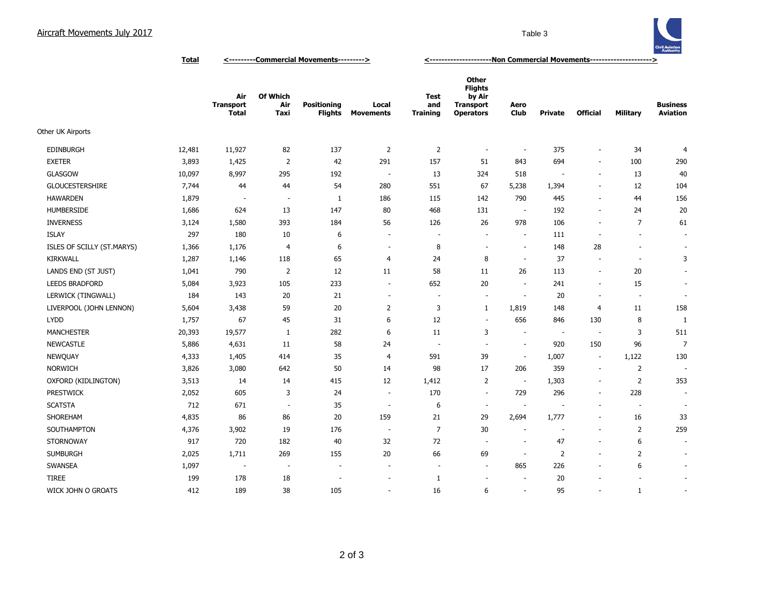## Aircraft Movements July 2017 **Table 3**



**Total <---------Commercial Movements---------> <---------------------Non Commercial Movements--------------------->**

|                            |        | Air<br>Transport<br><b>Total</b> | <b>Of Which</b><br>Air<br>Taxi | <b>Positioning</b><br>Flights | Local<br><b>Movements</b> | Test<br>and<br><b>Training</b> | <b>Other</b><br><b>Flights</b><br>by Air<br><b>Transport</b><br><b>Operators</b> | Aero<br>Club             | <b>Private</b>           | <b>Official</b>          | Military                 | <b>Business</b><br><b>Aviation</b> |
|----------------------------|--------|----------------------------------|--------------------------------|-------------------------------|---------------------------|--------------------------------|----------------------------------------------------------------------------------|--------------------------|--------------------------|--------------------------|--------------------------|------------------------------------|
| Other UK Airports          |        |                                  |                                |                               |                           |                                |                                                                                  |                          |                          |                          |                          |                                    |
| <b>EDINBURGH</b>           | 12,481 | 11,927                           | 82                             | 137                           | $\overline{2}$            | $\overline{2}$                 | $\overline{\phantom{a}}$                                                         | $\overline{\phantom{a}}$ | 375                      | $\sim$                   | 34                       | 4                                  |
| <b>EXETER</b>              | 3,893  | 1,425                            | $\overline{2}$                 | 42                            | 291                       | 157                            | 51                                                                               | 843                      | 694                      | $\sim$                   | 100                      | 290                                |
| <b>GLASGOW</b>             | 10,097 | 8,997                            | 295                            | 192                           | $\overline{\phantom{a}}$  | 13                             | 324                                                                              | 518                      | $\overline{\phantom{a}}$ | $\overline{\phantom{a}}$ | 13                       | 40                                 |
| GLOUCESTERSHIRE            | 7,744  | 44                               | 44                             | 54                            | 280                       | 551                            | 67                                                                               | 5,238                    | 1,394                    | $\overline{\phantom{a}}$ | 12                       | 104                                |
| <b>HAWARDEN</b>            | 1,879  | $\overline{\phantom{a}}$         | $\sim$                         | $\mathbf{1}$                  | 186                       | 115                            | 142                                                                              | 790                      | 445                      | $\sim$                   | 44                       | 156                                |
| <b>HUMBERSIDE</b>          | 1,686  | 624                              | 13                             | 147                           | 80                        | 468                            | 131                                                                              | $\sim$                   | 192                      | $\overline{\phantom{a}}$ | 24                       | 20                                 |
| <b>INVERNESS</b>           | 3,124  | 1,580                            | 393                            | 184                           | 56                        | 126                            | 26                                                                               | 978                      | 106                      | $\sim$                   | $\overline{7}$           | 61                                 |
| <b>ISLAY</b>               | 297    | 180                              | 10                             | 6                             | $\sim$                    | $\sim$                         | $\overline{a}$                                                                   | $\overline{\phantom{a}}$ | 111                      | $\overline{\phantom{a}}$ | $\overline{\phantom{a}}$ | $\overline{\phantom{a}}$           |
| ISLES OF SCILLY (ST.MARYS) | 1,366  | 1,176                            | 4                              | 6                             | $\sim$                    | 8                              | $\overline{\phantom{a}}$                                                         | $\sim$                   | 148                      | 28                       | $\overline{\phantom{a}}$ | $\overline{\phantom{a}}$           |
| <b>KIRKWALL</b>            | 1,287  | 1,146                            | 118                            | 65                            | 4                         | 24                             | 8                                                                                | $\overline{\phantom{a}}$ | 37                       | $\overline{\phantom{a}}$ | $\overline{\phantom{a}}$ | 3                                  |
| LANDS END (ST JUST)        | 1,041  | 790                              | $\overline{2}$                 | 12                            | 11                        | 58                             | 11                                                                               | 26                       | 113                      | $\overline{\phantom{a}}$ | 20                       |                                    |
| <b>LEEDS BRADFORD</b>      | 5,084  | 3,923                            | 105                            | 233                           | $\sim$                    | 652                            | 20                                                                               | ÷                        | 241                      | $\sim$                   | 15                       |                                    |
| LERWICK (TINGWALL)         | 184    | 143                              | 20                             | 21                            | $\sim$                    | $\overline{\phantom{a}}$       | $\sim$                                                                           |                          | 20                       | ÷.                       | $\overline{\phantom{a}}$ |                                    |
| LIVERPOOL (JOHN LENNON)    | 5,604  | 3,438                            | 59                             | 20                            | $\overline{2}$            | 3                              | $\mathbf{1}$                                                                     | 1,819                    | 148                      | 4                        | 11                       | 158                                |
| <b>LYDD</b>                | 1,757  | 67                               | 45                             | 31                            | 6                         | 12                             | $\overline{\phantom{a}}$                                                         | 656                      | 846                      | 130                      | 8                        | $\mathbf{1}$                       |
| <b>MANCHESTER</b>          | 20,393 | 19,577                           | 1                              | 282                           | 6                         | 11                             | 3                                                                                | $\sim$                   | $\overline{\phantom{a}}$ | $\overline{\phantom{a}}$ | 3                        | 511                                |
| <b>NEWCASTLE</b>           | 5,886  | 4,631                            | 11                             | 58                            | 24                        | $\overline{\phantom{a}}$       | $\overline{\phantom{a}}$                                                         | $\overline{\phantom{a}}$ | 920                      | 150                      | 96                       | 7                                  |
| <b>NEWQUAY</b>             | 4,333  | 1,405                            | 414                            | 35                            | $\overline{4}$            | 591                            | 39                                                                               | $\overline{\phantom{a}}$ | 1,007                    | $\overline{\phantom{a}}$ | 1,122                    | 130                                |
| <b>NORWICH</b>             | 3,826  | 3,080                            | 642                            | 50                            | 14                        | 98                             | 17                                                                               | 206                      | 359                      | $\overline{\phantom{a}}$ | $\overline{2}$           | $\overline{\phantom{a}}$           |
| OXFORD (KIDLINGTON)        | 3,513  | 14                               | 14                             | 415                           | 12                        | 1,412                          | $\overline{2}$                                                                   | $\sim$                   | 1,303                    | $\overline{\phantom{a}}$ | $\overline{2}$           | 353                                |
| <b>PRESTWICK</b>           | 2,052  | 605                              | 3                              | 24                            | $\overline{\phantom{a}}$  | 170                            | $\sim$                                                                           | 729                      | 296                      | $\overline{\phantom{a}}$ | 228                      |                                    |
| <b>SCATSTA</b>             | 712    | 671                              | $\overline{\phantom{a}}$       | 35                            | $\sim$                    | 6                              | $\overline{\phantom{a}}$                                                         | $\sim$                   | $\overline{\phantom{a}}$ | $\overline{\phantom{a}}$ | $\overline{\phantom{a}}$ | $\overline{\phantom{a}}$           |
| SHOREHAM                   | 4,835  | 86                               | 86                             | 20                            | 159                       | 21                             | 29                                                                               | 2,694                    | 1,777                    | $\sim$                   | 16                       | 33                                 |
| SOUTHAMPTON                | 4,376  | 3,902                            | 19                             | 176                           | $\sim$                    | $\overline{7}$                 | 30                                                                               |                          |                          | $\overline{\phantom{a}}$ | 2                        | 259                                |
| <b>STORNOWAY</b>           | 917    | 720                              | 182                            | 40                            | 32                        | 72                             | ٠.                                                                               | $\sim$                   | 47                       | $\overline{\phantom{a}}$ | 6                        |                                    |
| <b>SUMBURGH</b>            | 2,025  | 1,711                            | 269                            | 155                           | 20                        | 66                             | 69                                                                               | ÷                        | $\overline{2}$           | $\overline{\phantom{a}}$ | 2                        | $\overline{\phantom{a}}$           |
| SWANSEA                    | 1,097  | $\overline{\phantom{a}}$         | $\sim$                         | $\overline{\phantom{a}}$      | $\sim$                    | $\overline{a}$                 | $\overline{a}$                                                                   | 865                      | 226                      | $\overline{\phantom{a}}$ | 6                        |                                    |
| <b>TIREE</b>               | 199    | 178                              | 18                             | ÷                             | ٠                         | $\mathbf{1}$                   | $\overline{\phantom{a}}$                                                         |                          | 20                       | ÷,                       |                          | $\overline{\phantom{a}}$           |
| WICK JOHN O GROATS         | 412    | 189                              | 38                             | 105                           | ä,                        | 16                             | 6                                                                                | $\sim$                   | 95                       | $\overline{\phantom{a}}$ | 1                        | $\sim$                             |